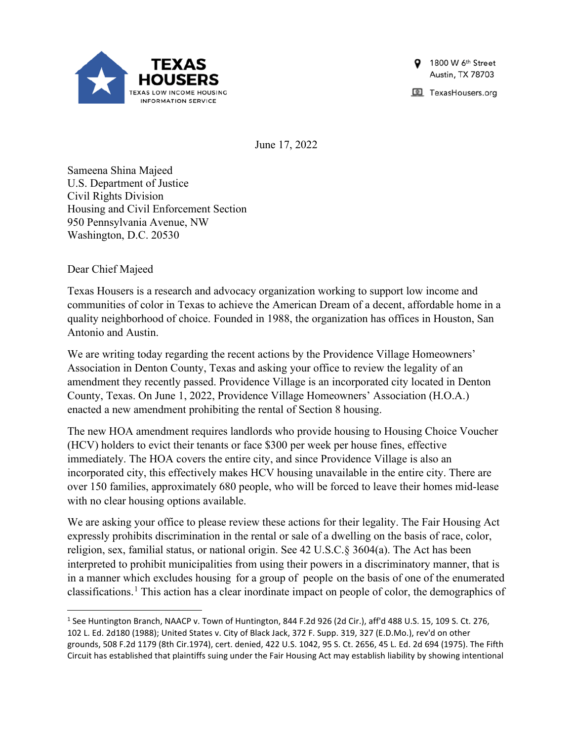

1800 W 6th Street Austin, TX 78703

TexasHousers.org

June 17, 2022

Sameena Shina Majeed U.S. Department of Justice Civil Rights Division Housing and Civil Enforcement Section 950 Pennsylvania Avenue, NW Washington, D.C. 20530

Dear Chief Majeed

Texas Housers is a research and advocacy organization working to support low income and communities of color in Texas to achieve the American Dream of a decent, affordable home in a quality neighborhood of choice. Founded in 1988, the organization has offices in Houston, San Antonio and Austin.

We are writing today regarding the recent actions by the Providence Village Homeowners' Association in Denton County, Texas and asking your office to review the legality of an amendment they recently passed. Providence Village is an incorporated city located in Denton County, Texas. On June 1, 2022, Providence Village Homeowners' Association (H.O.A.) enacted a new amendment prohibiting the rental of Section 8 housing.

The new HOA amendment requires landlords who provide housing to Housing Choice Voucher (HCV) holders to evict their tenants or face \$300 per week per house fines, effective immediately. The HOA covers the entire city, and since Providence Village is also an incorporated city, this effectively makes HCV housing unavailable in the entire city. There are over 150 families, approximately 680 people, who will be forced to leave their homes mid-lease with no clear housing options available.

We are asking your office to please review these actions for their legality. The Fair Housing Act expressly prohibits discrimination in the rental or sale of a dwelling on the basis of race, color, religion, sex, familial status, or national origin. See 42 U.S.C.§ 3604(a). The Act has been interpreted to prohibit municipalities from using their powers in a discriminatory manner, that is in a manner which excludes housing for a group of people on the basis of one of the enumerated classifications.<sup>[1](#page-0-0)</sup> This action has a clear inordinate impact on people of color, the demographics of

<span id="page-0-0"></span><sup>1</sup> See Huntington Branch, NAACP v. Town of Huntington, 844 F.2d 926 (2d Cir.), aff'd 488 U.S. 15, 109 S. Ct. 276, 102 L. Ed. 2d180 (1988); United States v. City of Black Jack, 372 F. Supp. 319, 327 (E.D.Mo.), rev'd on other grounds, 508 F.2d 1179 (8th Cir.1974), cert. denied, 422 U.S. 1042, 95 S. Ct. 2656, 45 L. Ed. 2d 694 (1975). The Fifth Circuit has established that plaintiffs suing under the Fair Housing Act may establish liability by showing intentional